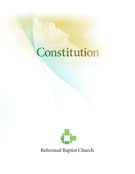# Constitution



Reformed Baptist Church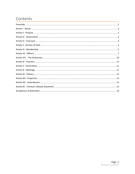# Contents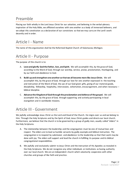# <span id="page-2-0"></span>Preamble

Placing our faith wholly in the Lord Jesus Christ for our salvation, and believing in the verbal-plenary inspiration of the Holy Bible, we affiliated ourselves with one another as a body of immersed believers, and we adopt this constitution as a declaration of our convictions so that we may carry on the Lord's work decently and in order.

### <span id="page-2-1"></span>Article I - Name

The name of this organization shall be the Reformed Baptist Church of Kalamazoo, Michigan.

# <span id="page-2-2"></span>Article II - Purpose

The purpose of this church is to:

- A. **Love and glorify God the Father, Son, and Spirit.** We will accomplish this, by the grace of God, according to the Word of God, through our worship, service, praise, proclamation, thanksgiving, and by our faith and obedience to God.
- B. **Build up and strengthen one another so that we all become more like Jesus Christ.** We will accomplish this, by the grace of God, through our love for one another expressed in: the teaching and instruction of the Word of God, the use of our God-given gifts, giving of our material goods, discipleship, fellowship, hospitality, intercession, exhortation, encouragement, and when necessary – biblical discipline.
- C. **Advance the Kingdom of God through the proclamation and defense of the gospel.** We will accomplish this, by the grace of God, through supporting and actively participating in local evangelism and in worldwide missions.

# <span id="page-2-3"></span>Article III - Government

We joyfully acknowledge Jesus Christ as the Lord and Head of the Church. He reigns over us and we belong to Him. Through the Holy Scriptures and by the Spirit of God, Jesus Christ guides and directs our local church. Furthermore, we believe that the church is to be governed by a group of godly men, usually called "elders" in the Holy Scriptures.

- A. The relationship between the leadership and the congregation must be one of mutual love and respect. The elders are to lead as humble servants by godly example and biblical instruction. The congregation is to respond by submission and obedience to the leadership so that their work may be done with joy. The elders will support and lead the church in fulfilling its purpose and its biblical congregational responsibilities.
- B. We joyfully and exclusively submit to Jesus Christ and the instruction of His Apostles as revealed in the Holy Scriptures. We do not recognize any other individuals or institutions as having authority over our local church. We are an independent church which voluntarily cooperates with other churches and groups of like faith and practice.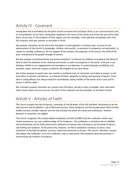# <span id="page-3-0"></span>Article IV - Covenant

Having been led as we believe by the Spirit of God to receive the Lord Jesus Christ as our Lord and Savior and, on the profession of our faith, having been baptized in the name of the Father and of the Son and of the Holy Spirit, we do now, in the presence of God, angels, and this assembly, most solemnly and joyfully enter into this covenant with one another as one body in Christ.

We purpose, therefore, by the aid of the Holy Spirit to walk together in Christian love, to strive for the advancement of this church in knowledge, holiness and comfort, to promote its prosperity and spirituality, to sustain its worship, ordinances, for the support of the ministry, the expenses of the church, the relief of the poor, and spread of the gospel through all nations.

We also purpose to maintain family and private devotions, to educate our children according to the Word of God, to seek the salvation of our relatives and friends, to walk circumspectly in the world, to be just in our dealings, faithful in our engagements and exemplary in our behavior, to avoid all gossip, backbiting, and excessive anger, and to be zealous to advance the kingdom of our dear Savior.

We further purpose to watch over one another in brotherly love, to remember each other in prayer, to aid each other in sickness and distress, to cultivate Christian sympathy in feeling and courtesy of speech, to be slow in taking offense but always ready for reconciliation, being mindful of the words of our Lord, and to secure it without delay.

We moreover purpose that when we remove from this place, we will as soon as possible unite with some other church where we can carry out the spirit of this covenant and the principles of the Word of God.

# <span id="page-3-1"></span>Article V - Articles of Faith

This church accepts the Holy Scriptures, consisting of the 66 books of the Old and New Testaments to be the only inerrant and all-sufficient rule of faith and practice. These Scriptures are the inscripturated Word of God, wholly inerrant, verbally inspired, and the only standard by which all creeds and confessions, whether personal or corporate, are judged.

This church recognizes *The London Baptist Confession of Faith of 1689* to be the confession which *most closely* summarizes our own understanding of the Scriptures. This confession is not held to be an infallible and authoritative rule for faith and practice. Believers are bound only to Scripture, by the whole Scripture, and nothing but Scripture. At the same time, however, we find it absolutely necessary to have a clear statement of the faith we believe, practice, teach and commend to all men. This church, therefore, accepts and adopts this confession as its own confession and as a document that maintains doctrinal precision in summarizing the contents of Scripture.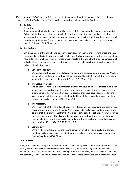*The London Baptist Confession of Faith* is an excellent summary of our faith and we claim this confession under the Word of God as our confession with the following additions and clarifications.

#### **A. Additions**

#### **Separation**

Though not dealt with in the confession, the position of this church on the issue of separation is as follows. We believe in the Biblical authority for and imperative of personal and ecclesiastical separation. The modern ecumenical movement violates this principle and should be shunned by all Bible-believing Christians (2 Cor. 6:14-18; Gal. 1:8-9; Eph. 5:11; 2 Thess. 2:14-15; 2 Tim. 2:15-21; 1 John 2:19; 2 John 10-11; Titus 3:10-11).

#### **B. Clarifications**

While the elders of this church hold to definite convictions in each of the following areas, they also recognize that individuals who can be called Reformed Baptist in every sense of the word sometimes have differing convictions in some of these areas. Therefore, this church will allow for a measure of individual liberty among members in determining their personal convictions with reference to the following theological issues:

#### **1. Covenant Theology**

We believe that God has from all eternity had only one purpose, plan, and people. We allow our members to determine for themselves, however, the extent to which they embrace a systematized covenant theology [Ch. 7; 9 (Art. 6-7); 20 (Art. 1)].

#### **2. The Status of Infants**

We do not believe the Bible is sufficiently clear on the issue of whether children who die in infancy are regenerated and, therefore, go to heaven. It is clear, however, that if any or all infants do go to heaven when they die, it is because they have been regenerated by the sovereign grace of God and are justified by the blood of Christ. We, therefore, allow for a measure of liberty in this area [Ch. 10 (Art. 3)].

#### **3. The Moral Law**

We recognize that the moral law of God, as a reflection of the unchanging character of God, never changes and is forever binding. With reference to the Sabbath-Lord's Day issue, we believe that the Bible teaches that the Christian is duty-bound to set aside his own labors on the Lord's Day and give that day over to the worship of his God. However, we allow our members to determine the particular outworking or the principles of rest and worship in their own lives [Ch. 19 (Art. 2, 5-7); 22 (Art. 7-8)].

#### **4. Eschatology**

While we believe strongly that the second coming of Christ is to be a public and glorious event, we will not insist upon the adoption of a specific millennial view as a condition for membership [Ch. 26 (Art. 4); 32].

#### **Final Comment**

Though this assembly recognizes *The London Baptist Confession of 1689* to be the confession which most closely summarizes its own understanding of the Scriptures, we also are in agreement with the Heidelberg Catechism, the Canons of Dordt, the Belgic Confession of Faith, the Westminster Confession, and especially the Philadelphia Baptist Confession in so far as these confessions are in agreement with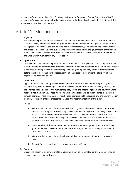this assembly's understanding of the Scriptures as taught in *The London Baptist Confession of 1689*. It is this assembly's basic agreement with the doctrines taught in these historic confessions that enable it to be referred to as a *Reformed* Baptist Church.

### <span id="page-5-0"></span>Article VI - Membership

#### **A. Eligibility**

The membership of this church shall consist of persons who have received the Lord Jesus Christ as Lord and Savior, who have subsequently been baptized by immersion, who give assurance of their willingness to obey the Word of God, who are in fundamental agreement with the articles of faith and practice stated in this constitution, who are willing to submit to the government of this church, who are not under biblically warranted discipline from any other church of like faith and practice, and who are not members of any secret society.

#### **B. Application**

All applications for membership shall be made to the elders. All applicants shall be required to meet with the elders for a membership interview, share their personal testimony of salvation and Christian experience, and if approved for membership, shall be given opportunity to share their testimony before the church. It shall be the responsibility of the elders to determine the eligibility of the applicants as described above.

#### **C. Admission**

Applicants who have been approved by the elders for admission into membership will sign an accountability form, have the right hand of fellowship extended to them at a Sunday service, and their names will be added to the membership roll, noting the date they joined and how they were received into membership. Those who have not been baptized will be received into membership through baptism. Those who have previously been baptized will be received into the church through transfer, profession of faith, or restoration, upon the recommendation of the elders.

#### **D. Duties**

- **1.** Members shall strive to keep their covenant obligations. They should honor and esteem their pastors and pray for them daily. They will endeavor to preserve the unity of the church and, if at any time they find themselves opposed to the fundamental doctrines of this church, they will not seek to disrupt its fellowship, but will seek out the elders for special counsel. If a satisfactory solution is not found, they will withdraw from its membership.
- **2.** Every member of this church is expected to attend its meetings, work for its up-building, guard its name in the community, and contribute regularly and according to his ability for the expenses of the church.
- **3.** Members shall strive to keep the elders and deacons informed of spiritual or material needs.
- **4.** Support for this church shall be through voluntary offerings.

#### **E. Removal**

Church membership is a serious matter and it should not be terminated lightly. Members may be removed from the church through: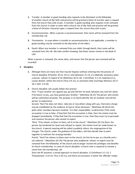- **1.** Transfer. A member in good standing who requests to be dismissed to the fellowship of another church of like faith and practice will be granted a letter of transfer upon a request from the church they wish to join. A member in good standing who requests to be removed from this church in order to unite with a church not of like faith and practice will be granted a letter of Christian character upon a request from the church they wish to join.
- **2.** Excommunication. When a person is excommunicated, their name will be removed from the membership roll.
- **3.** Termination. In cases where a transfer or excommunication is not applicable, a member in good standing may be removed at the discretion of the elders.
- **4.** Death. When any member is removed from our midst through death, their name will be removed from the roll. We take comfort knowing that these names remain in the Book of Life!

When a person is removed, the name, date, and reason that the person was removed will be recorded.

#### **F. Discipline**

- **1.** Although there are many sins that may be forgiven without entering into the process of church discipline (Proverbs 10:12; 19:11; and Ephesians 4:1-3), it is biblically necessary when a person: refuses to repent of sin (Matthew 18:15-20; 1 Corinthian 5:1-13; Galatians 6:1), causes division within the church (Titus 3:9-11), or promotes false teachings (Romans 16:17- 18; 2 John 1:9-10).
- **2.** Church discipline will usually follow this process:

*First*, "If your brother sins against you, go and tell him his fault, between you and him alone. If he listens to you, you have gained your brother." (Matthew 18:15) The person who sinned will be confronted privately. The purpose is to clearly identify the sin involved and call the person to repentance.

*Second*, "But if he does not listen, take one or two others along with you, that every charge may be established by the evidence of two or three witnesses." (Matthew 18:16) At this point other members become involved. It is their responsibility to determine if the initial accusation is true or false. If they find that the accusation is false, then the matter must be dropped immediately. If they find that the accusation is true, then they must try to persuade and convince the person who sinned to repent.

*Third*, "If he refuses to listen to them, tell it to the church." (Matthew 18:17a) Since the person has hardened his heart and refused to repent, the matter must be made known to the church. A special meeting will be called to publicly inform the congregation of the charges. The church, under the guidance of the elders, will then decide how to work together to confront the straying member.

*Fourth*, "And if he refuses to listen even to the church, let him be to you as a Gentile and a tax collector." (Matthew 18:17b) The person who stubbornly refuses to repent must be removed from the fellowship of the church and no longer receive the privileges and benefits of church membership. In cases of church discipline a church vote is required to remove a name from the membership roll.

Since the NT presents a varied approach to church discipline (1 Corinthians 5:1-13; 2 Thessalonians 3:14-15; Titus 3:10-11), and there are occasions in which the offender makes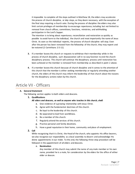it impossible to complete all the steps outlined in Matthew 18, the elders may accelerate the process of church discipline, or skip steps, as they deem necessary, with the exception of the final step requiring a church vote. During the process of discipline the elders may also limit certain privileges of membership to encourage repentance, including but not limited to: removal from church offices, committees, functions, ministries, and withholding participation in the Lord's Supper.

The intention is to bring about repentance, reconciliation and restoration as quickly as possible to avoid harm to the individual, the church and most importantly the name of Jesus Christ. As soon as the individual repents, the process of church discipline will stop. Even after the person has been removed from the fellowship of the church, they may repent and be restored (2 Corinthians 2:5-11).

- **3.** If a member leaves this church or requests to withdraw their membership while in the process of church discipline, such disassociation will in no way function to end the church disciplinary process. This church will continue the disciplinary process until restoration has been achieved or the member is removed from membership as described in point 2 above.
- **4.** If a member leaves this church because of church discipline and it comes to the attention of this church that the member is either seeking membership or regularly attending another church, the elders of this church may inform the leadership of that church about the reasons for the disciplinary actions taken by this church.

### <span id="page-7-0"></span>Article VII - Officers

#### **A. General Statement**

The following section applies to both elders and deacons.

#### **1. Qualifications**

#### *All elders and deacons, as well as anyone who teaches in this church, shall:*

- a. Give evidence of a growing relationship with Jesus Christ.
- b. Agree with the fundamental doctrines of this church.
- c. Be loyal to the leadership of this church.
- d. Be separated to God from worldliness.
- e. Be a member of this church.
- f. Regularly attend the services of this church.
- g. Practice personal and family devotions.
- h. Have a good reputation in their home, community and place of employment.

#### **2. Call**

While recognizing that it is Christ, the Head of the church, who appoints His office bearers, we also recognize our responsibility as a local assembly to discern and acknowledge His divine appointments in our midst. To this end, the following three-step procedure will be followed in the appointment of all elders and deacons.

a. **Nomination**

Any member of this church may submit the name of any male member or his own name, provided he is a male, for consideration by the elders for the office of either elder or deacon.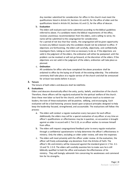Any member submitted for consideration for office in this church must meet the qualifications listed in Article VII, Sections A1 and B1, for the office of elder and the qualifications listed in Article VII, Sections A1 and C1, for the office of deacon.

#### b. **Evaluation**

The elders will evaluate each name submitted according to the biblical guidelines referred to above. If a candidate meets the biblical requirements of the office, receives unanimous recommendation from the elders, and is willing to serve, his name will be submitted to the congregation for consideration.

For a period of not less than four weeks, the congregation will be given opportunity to state any biblical reasons why the candidate should not be ordained to office. If objections are forthcoming, the elders will carefully, objectively, and confidentially investigate them, taking as much time as necessary to do so. If the objections are valid in the judgment of the elders, the ordination will either be postponed until the problem can be resolved or will not go forward, at the discretion of the elders. If the objections are not valid in the judgment of the elders, ordination will take place as planned.

#### c. **Ordination**

All candidates for office who have completed the above procedure shall be ordained to office by the laying on of hands of the existing eldership. The ordination ceremony shall take place at a regular service of the church and shall be announced for at least two weeks before it occurs

#### **3. Tenure**

The tenure of both elders and deacons shall be indefinite.

#### **4. Evaluations**

Elders and deacons dramatically affect the unity, purity, beliefs, and direction of the church. Therefore, these officers will be regularly evaluated for the spiritual welfare of the church. Since these men labor so hard for the church, and the Scriptures teach us to esteem our leaders, the tone of these evaluations will be positive, edifying, and encouraging. Each evaluation will be a God-honoring process based upon scriptural principles designed to help keep the leadership focused, strengthened, and accountable. The evaluations will follow this process:

- a. The elders will conduct a regular evaluation every two years for each officer. Additionally the elders may call for a special evaluation of any officer at any time an officer's qualifications or effectiveness may be in question, an accusation is brought against an elder in accord with 1 Tim 5:19, or an officer wishes to remove himself from office.
- b. The elders will request congregational feedback prior to every regular evaluation through a confidential questionnaire to help determine the officer's effectiveness in ministry. Only the elders, excluding an elder under review, will view the responses
- c. The elders will meet privately with the officer under review. At the evaluation, the officer will freely acknowledge any deviations from the Articles of Faith. The officer's life and ministry will be measured against the standard given in 1 Tim. 3:1- 13 and Tit. 1:5-9. The elders will carefully examine him to make sure he is still biblically qualified to hold the office and evaluate the effectiveness of his ministry. They will lovingly admonish him concerning his weaknesses and commend him for his strengths.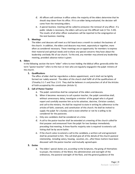- d. All officers will continue in office unless the majority of the elders determine that he should step down from his office. If it is an elder being evaluated, the decision will come from the remaining elders.
- e. A special business meeting will be called to announce the removal of any officer. If a public rebuke is necessary, the elders will carry out this difficult task (1 Tim. 5:20). The results of all other officer evaluations will be reported to the congregation at the next business meeting.

#### **5. Meetings**

The elders and deacons will meet as a full board once a month to conduct the business of the church. In addition, the elders and deacons may meet, separately or together, more often as considered necessary. These meetings are an opportunity for members to express their material and spiritual needs and to share any special concerns they have about the leadership and body life of our church. To this end, any member may attend any leadership meeting, provided advance notice is given.

#### **B. Elders**

In the following section the term "elder" refers to men holding the biblical office generally while the term "pastor-teacher" refers to the man or men who are regularly engaged in the pulpit ministry of the church.

#### **1. Qualifications**

The office of elder shall be regarded as a divine appointment, and it shall not be lightly formed nor rudely severed. The elders of this church shall fulfill all of the qualifications of 1Timothy 3:1-7 and Titus 1:5-9. They shall be believers in and preachers of all of the Articles of Faith accepted by this constitution (Article V).

#### **2. Call of Pastor-Teacher**

- a. The pulpit committee shall be comprised of the elders and deacons.
- b. When it becomes necessary to call a pastor-teacher, the pulpit committee shall, without unnecessary delay, investigate a minister of the gospel who is of good report and carefully examine him as to his salvation, doctrine, Christian conduct, and call to the ministry. He shall be required to state in writing his adherence to the articles of faith, covenant, and constitution of this church. He shall be invited to supply the pulpit for a Sunday and to state whether or not he is willing to be considered for the pastorate.
- c. Only one candidate shall be considered at a time.
- d. A call to the pastor-teacher shall be extended at a meeting of the church called for that purpose and announced from the pulpit for two Sundays immediately preceding that meeting. A three-fourths majority vote is required to extend a call. Voting shall be by secret ballot.
- e. If the church votes to extend a call to the candidate, a written call and agreement shall be presented to him. This call shall give all of the details of the church-pastoral relationship, including salary, housing, vacation, etc., after these matters have been discussed with the pastor-teacher and mutually agreed upon.

#### **3. Duties**

a. The elders' special duties are, according to the Scriptures, the giving of themselves to prayer, the ministry of the Word, the administration and oversight of the ordinances, the pastoral oversight of the flock, and the general guidance of the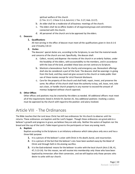spiritual welfare of the church

(1 Tim. 3:1-7; 1 Peter 5:1-4; Acts 6:4; 1 Tim. 5:17; Heb. 13:17).

- b. An elder shall be a moderator of all business meetings of the church.
- c. The elders shall be ex-officio leaders of all organized groups and committees connected with the church.
- d. All personnel of the church are to be approved by the elders.

#### **C. Deacons**

#### **1. Qualifications**

All men serving in the office of deacon must meet all the qualifications given in Acts 6:1-6 and 1Timothy 3:8-13

#### **2. Duties**

The deacons' special duties are, according to the Scriptures, to see that the material needs and concerns of the church are met. Specifically, the deacon shall:

- a. Collect, record, and dispense the monies of the church in an orderly fashion, under the headship of the elders, with accountability to the members, and in accordance with the laws of the land, provided these laws are not contrary to Scripture.
- b. Maintain a benevolence fund for charity and emergency use. Benevolent offerings shall also be considered a part of this fund. The deacons shall be sovereign in giving from this fund, and they need not give account to the church or make public their use of these monies except for strict financial disclosure.
- c. Care for the property of the church and shall hold, repair, invest, and preserve the same. No officer of this church shall have the authority to buy, sell, lease, rent, take out a loan, or handle church property in any manner to exceed the amount of moneys budgeted without church approval.

#### **D. Other Offices**

Other offices and positions may be created by the elders as needed. All additional officers must meet all of the requirements listed in Article VII, Section A1. Any additional positions involving a salary must be approved by the church with regard to the position and salary involved.

# <span id="page-10-0"></span>Article VIII - The Ordinances

The Bible teaches that the Lord Jesus Christ has left two ordinances for His church to observe until He returns. These ordinances are baptism and the Lord's Supper. Though these ordinances are great aids to a believer's growth and progress in grace, we believe they are aids only. Neither the waters of baptism nor the bread and the cup of the Lord's Table impart grace to the participants or have any saving merit.

#### **A. Baptism**

Baptism according to the Scriptures is an initiatory ordinance which takes place only once and has a three-fold purpose:

- **1.** It is a picture of the believer's union with Christ in His death, burial, and resurrection.
- **2.** It is a picture of the fact that the believer's sins have been washed away by the blood of Christ and through faith in His atoning sacrifice.
- **3.** It is the God-ordained means for the believer to unite with the local church (Acts 2:38, 41, 47; 5:13-14). For this reason, we will receive into membership only those who have been baptized by immersion after their conversion, and we will baptize only those persons who desire to unite with our church.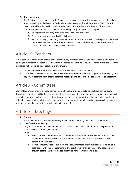#### **B. The Lord's Supper**

The Scriptures teach that the Lord's Supper is to be observed by believers only, and only by believers who are walking in obedience to God and are in fellowship with their brothers in Christ. For this reason, the elders shall seek to maintain the purity of this ordinance by insisting through both private and public exhortation that all those who participate in the Lord's Supper:

- **1.** Be regenerate and living lives consistent with their profession.
- **2.** Be members of an evangelical local church.
- **3.** Not be knowingly tolerating any situation or circumstance which is causing division between themselves and any other brother or sister in Christ. All those who meet these biblical criteria are welcomed to the table of the Lord.

### <span id="page-11-0"></span>Article IX - Teachers

James said, "Not many of you should act as teachers, my brothers, because you know that we who teach will be judged more strictly." Because God has high standards for those who would teach His Word, the following standards will be applied to all teachers in this church.

- **A.** All teachers must meet the qualifications detailed in Article VII, Section A.
- **B.** It is further expected that all teachers will study diligently for their classes, pray for their pupils, seek to grow in teaching skills, attend teachers' meetings, and call on their class members as necessary.

# <span id="page-11-1"></span>Article X - Committees

Committees are sometimes needed to implement change, work on projects, and achieve certain goals. Therefore committees will be formed and dissolved as necessary by or under the direction of the elders. All committee members will serve at the discretion of the elders. Each committee shall be responsible to the elders for its work. Although the elders are ex-officio leaders of all committees the deacons will be entrusted with overseeing the committees which pertain to their office.

### <span id="page-11-2"></span>Article XI - Meetings

#### **A. Quorum**

The active members present and voting at any business meeting shall constitute a quorum.

#### **B. Qualifications for Voting**

Only active members of the church who are 18 years old or older, and are not in the process of church discipline, are eligible to vote.

#### **C. Rules**

- **1.** Robert's Rules of Order shall be the parliamentary manual for this church. If there is any conflict between this constitution and Robert's Rules of Order, the provisions of this constitution shall stand.
- **2.** A simple majority vote of qualified and voting members at any business meeting called in accordance with the requirements of this constitution shall be required to pass all items brought before the church unless otherwise stated in this constitution.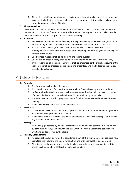**3.** All elections of officers, purchase of property, expenditure of funds, and such other matters as deemed wise by the chairman shall be voted on by secret ballot. All other decisions may be made by voice or show of hands.

#### **D. Absentee Ballots**

Absentee ballots will be permitted for all elections of officers and specially-announced business to members in good standing if due to an unavoidable absence. The request for such a ballot must be made to an elder by the Sunday prior to the business meeting.

#### **E. Schedule**

- **1.** We will regularly assemble every Sunday morning and evening to worship God (Acts 2:42-47; Heb 10:24-25; 2 Tim 4:1-4; London Baptist Confession of Faith, Chapter 22, Art. 5-6).
- **2.** Special business meetings may be called at any time by the elders. Prior notice of the meeting must detail the time and purpose of the meeting and must be given at two regular services of the church.
- **3.** One business meeting shall be held during the second quarter.
- **4.** One annual business meeting shall be held during the fourth quarter. At this meeting, annual reports on all standing committees shall be presented to the church, a resume of the year's work shall be prepared by the elders and presented, and the budget for the ensuing year shall be voted on.

### <span id="page-12-0"></span>Article XII - Policies

#### **A. Financial**

- 1. The fiscal year shall be the calendar year.
- 2. This church is a non-profit organization and shall be financed only by voluntary offerings.
- 3. No financial obligation in any form shall be placed upon this church in excess of the amount of moneys budgeted without a church vote. Voting shall be by secret ballot.
- 4. The elders and deacons shall prepare a budget for church approval at the annual business meeting.
- 5. There shall be only one treasury for the whole church.

#### **B. Missionary**

- 1. It shall be the policy of this church to support missions which are in fundamental agreement with the doctrinal positions of this church.
- 2. If a missions agency is involved, the elders or deacons will make the congregation aware of any doctrinal or financial concerns.

#### **C. Marriage**

All weddings performed by an elder of this church and weddings performed in this church building must be in agreement with the RBC Christian Lifestyle Statement, between two Christians, and approved by the elders.

#### **D. Auxiliary Organizations**

- 1. No organization shall be formed or considered a part of this church before its sponsors have submitted their plans to the elders for sanction and until approval has been granted.
- 2. All officers, regular workers, and regular teachers having to do with any function of this church shall be members of this church in good standing.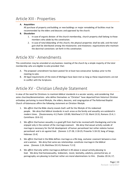### <span id="page-13-0"></span>Article XIII - Properties

#### **A. Acquisition**

All purchase of property and building or new buildings or major remodeling of facilities must be recommended by the elders and deacons and approved by the church.

#### **B. Dissolution**

- 1. In case of organic division of the church membership, church property shall belong to those members who abide by this constitution.
- 2. In case of total disbanding of this church, the physical properties shall be sold, and the total gain shall be distributed among the missionaries and missionary organizations who maintain the doctrinal convictions set forth in this constitution.

### <span id="page-13-1"></span>Article XIV - Amendments

This constitution may be amended at any business meeting of the church by a simple majority of the total membership who are eligible to vote provided that:

- A. The proposed amendment has been posted for at least two consecutive Sundays prior to the meeting to vote.
- B. All legal requirements of the state of Michigan have been met so long as these requirements are not in conflict with the Scriptures.

# <span id="page-13-2"></span>Article XV - Christian Lifestyle Statement

In view of the need for Christians to maintain biblical standards in a secular society, and considering that some churches/denominations who define themselves as "Christian" have departed from historical Christian orthodoxy pertaining to moral lifestyle, the elders, deacons, and congregation of The Reformed Baptist Church of Kalamazoo affirm the following statement on Christian lifestyle.

- 1. We *affirm* that the Bible clearly reveals God's will for the lifestyle of His redeemed people. We *deny* that biblical standards in such areas as the family and sexuality are outdated in modern times. [Deuteronomy 4:2; Psalm 119:89; Matthew 5:17-19; Mark 13:31; Romans 15:4; 1 Corinthians 10:6-11]
- 2. We *affirm* that human sexuality is a good gift from God to be received with thanksgiving and to be enjoyed only in the context of the marriage covenant. We *deny* that sexual activity outside of marriage is necessary for the full development of human personhood but rather violates human personhood and is sin against God. [Genesis 1:27-28; 2:18-25; Proverbs 5:18-19; Song of Songs; Hebrews 13:4]
- 3. We *affirm* that God in the Bible defines marriage as a life-long, exclusive covenant between a man and a woman. We *deny* that same-sex relationships constitute marriage in the biblical sense. [Genesis 2:24; Matthew 19:3-9; Romans 7:2-3]
- 4. We *affirm* that only within marriage as defined in #3 above is sexual activity pleasing to God. We *deny* that homosexuality, lesbianism, incest, bestiality, adultery, premarital sex, or pornography are pleasing to God but rather are moral abominations to Him. [Exodus 20:14, 17;